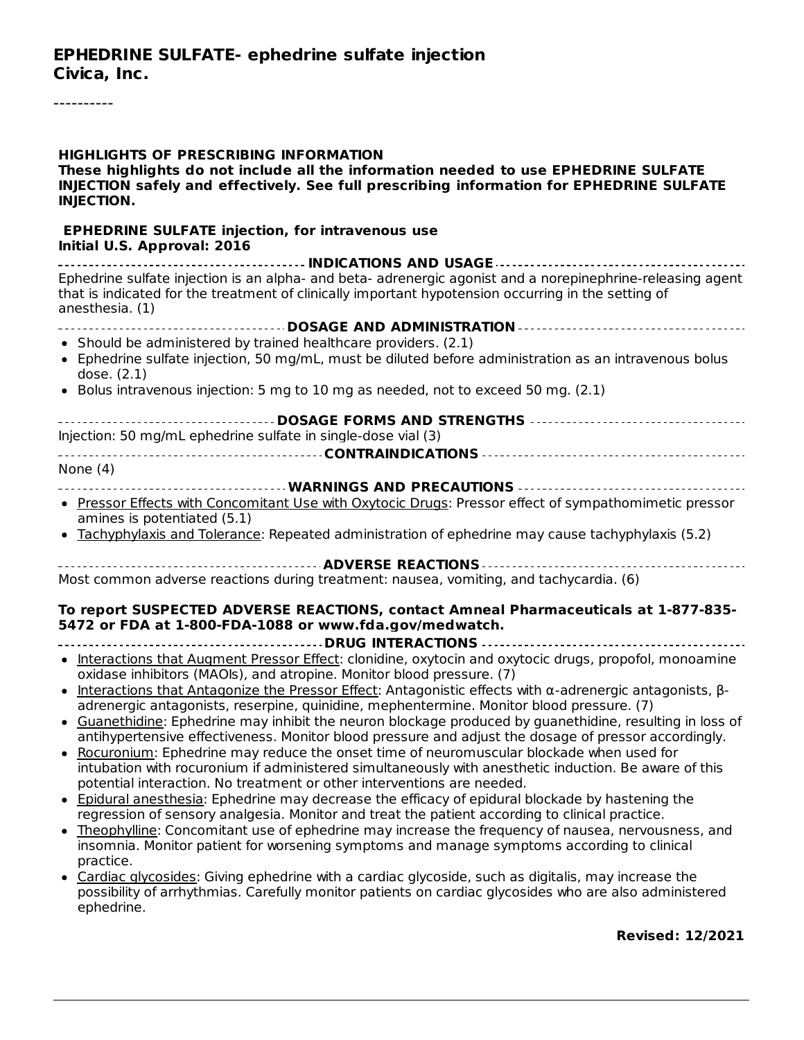----------

| <b>HIGHLIGHTS OF PRESCRIBING INFORMATION</b><br>These highlights do not include all the information needed to use EPHEDRINE SULFATE<br>INJECTION safely and effectively. See full prescribing information for EPHEDRINE SULFATE<br><b>INJECTION.</b>                                                                                                                                                                                                                                                                                                                                                                                                                                                                                                                                                                                                                                                                                                                                                                                                                                                                                                                                                                                                                                                                                                                           |
|--------------------------------------------------------------------------------------------------------------------------------------------------------------------------------------------------------------------------------------------------------------------------------------------------------------------------------------------------------------------------------------------------------------------------------------------------------------------------------------------------------------------------------------------------------------------------------------------------------------------------------------------------------------------------------------------------------------------------------------------------------------------------------------------------------------------------------------------------------------------------------------------------------------------------------------------------------------------------------------------------------------------------------------------------------------------------------------------------------------------------------------------------------------------------------------------------------------------------------------------------------------------------------------------------------------------------------------------------------------------------------|
| <b>EPHEDRINE SULFATE injection, for intravenous use</b><br>Initial U.S. Approval: 2016                                                                                                                                                                                                                                                                                                                                                                                                                                                                                                                                                                                                                                                                                                                                                                                                                                                                                                                                                                                                                                                                                                                                                                                                                                                                                         |
| Ephedrine sulfate injection is an alpha- and beta- adrenergic agonist and a norepinephrine-releasing agent<br>that is indicated for the treatment of clinically important hypotension occurring in the setting of<br>anesthesia. (1)                                                                                                                                                                                                                                                                                                                                                                                                                                                                                                                                                                                                                                                                                                                                                                                                                                                                                                                                                                                                                                                                                                                                           |
|                                                                                                                                                                                                                                                                                                                                                                                                                                                                                                                                                                                                                                                                                                                                                                                                                                                                                                                                                                                                                                                                                                                                                                                                                                                                                                                                                                                |
| • Should be administered by trained healthcare providers. (2.1)<br>• Ephedrine sulfate injection, 50 mg/mL, must be diluted before administration as an intravenous bolus<br>dose. (2.1)                                                                                                                                                                                                                                                                                                                                                                                                                                                                                                                                                                                                                                                                                                                                                                                                                                                                                                                                                                                                                                                                                                                                                                                       |
| • Bolus intravenous injection: 5 mg to 10 mg as needed, not to exceed 50 mg. (2.1)                                                                                                                                                                                                                                                                                                                                                                                                                                                                                                                                                                                                                                                                                                                                                                                                                                                                                                                                                                                                                                                                                                                                                                                                                                                                                             |
| Injection: 50 mg/mL ephedrine sulfate in single-dose vial (3)                                                                                                                                                                                                                                                                                                                                                                                                                                                                                                                                                                                                                                                                                                                                                                                                                                                                                                                                                                                                                                                                                                                                                                                                                                                                                                                  |
| None $(4)$                                                                                                                                                                                                                                                                                                                                                                                                                                                                                                                                                                                                                                                                                                                                                                                                                                                                                                                                                                                                                                                                                                                                                                                                                                                                                                                                                                     |
|                                                                                                                                                                                                                                                                                                                                                                                                                                                                                                                                                                                                                                                                                                                                                                                                                                                                                                                                                                                                                                                                                                                                                                                                                                                                                                                                                                                |
| • Pressor Effects with Concomitant Use with Oxytocic Drugs: Pressor effect of sympathomimetic pressor<br>amines is potentiated (5.1)<br>• Tachyphylaxis and Tolerance: Repeated administration of ephedrine may cause tachyphylaxis (5.2)                                                                                                                                                                                                                                                                                                                                                                                                                                                                                                                                                                                                                                                                                                                                                                                                                                                                                                                                                                                                                                                                                                                                      |
|                                                                                                                                                                                                                                                                                                                                                                                                                                                                                                                                                                                                                                                                                                                                                                                                                                                                                                                                                                                                                                                                                                                                                                                                                                                                                                                                                                                |
|                                                                                                                                                                                                                                                                                                                                                                                                                                                                                                                                                                                                                                                                                                                                                                                                                                                                                                                                                                                                                                                                                                                                                                                                                                                                                                                                                                                |
| Most common adverse reactions during treatment: nausea, vomiting, and tachycardia. (6)                                                                                                                                                                                                                                                                                                                                                                                                                                                                                                                                                                                                                                                                                                                                                                                                                                                                                                                                                                                                                                                                                                                                                                                                                                                                                         |
| To report SUSPECTED ADVERSE REACTIONS, contact Amneal Pharmaceuticals at 1-877-835-<br>5472 or FDA at 1-800-FDA-1088 or www.fda.gov/medwatch.                                                                                                                                                                                                                                                                                                                                                                                                                                                                                                                                                                                                                                                                                                                                                                                                                                                                                                                                                                                                                                                                                                                                                                                                                                  |
| • Interactions that Augment Pressor Effect: clonidine, oxytocin and oxytocic drugs, propofol, monoamine<br>oxidase inhibitors (MAOIs), and atropine. Monitor blood pressure. (7)                                                                                                                                                                                                                                                                                                                                                                                                                                                                                                                                                                                                                                                                                                                                                                                                                                                                                                                                                                                                                                                                                                                                                                                               |
| • Interactions that Antagonize the Pressor Effect: Antagonistic effects with $\alpha$ -adrenergic antagonists, $\beta$ -<br>adrenergic antagonists, reserpine, quinidine, mephentermine. Monitor blood pressure. (7)<br>• Guanethidine: Ephedrine may inhibit the neuron blockage produced by guanethidine, resulting in loss of<br>antihypertensive effectiveness. Monitor blood pressure and adjust the dosage of pressor accordingly.<br>Rocuronium: Ephedrine may reduce the onset time of neuromuscular blockade when used for<br>intubation with rocuronium if administered simultaneously with anesthetic induction. Be aware of this<br>potential interaction. No treatment or other interventions are needed.<br>• Epidural anesthesia: Ephedrine may decrease the efficacy of epidural blockade by hastening the<br>regression of sensory analgesia. Monitor and treat the patient according to clinical practice.<br>• Theophylline: Concomitant use of ephedrine may increase the frequency of nausea, nervousness, and<br>insomnia. Monitor patient for worsening symptoms and manage symptoms according to clinical<br>practice.<br>• Cardiac glycosides: Giving ephedrine with a cardiac glycoside, such as digitalis, may increase the<br>possibility of arrhythmias. Carefully monitor patients on cardiac glycosides who are also administered<br>ephedrine. |
| <b>Revised: 12/2021</b>                                                                                                                                                                                                                                                                                                                                                                                                                                                                                                                                                                                                                                                                                                                                                                                                                                                                                                                                                                                                                                                                                                                                                                                                                                                                                                                                                        |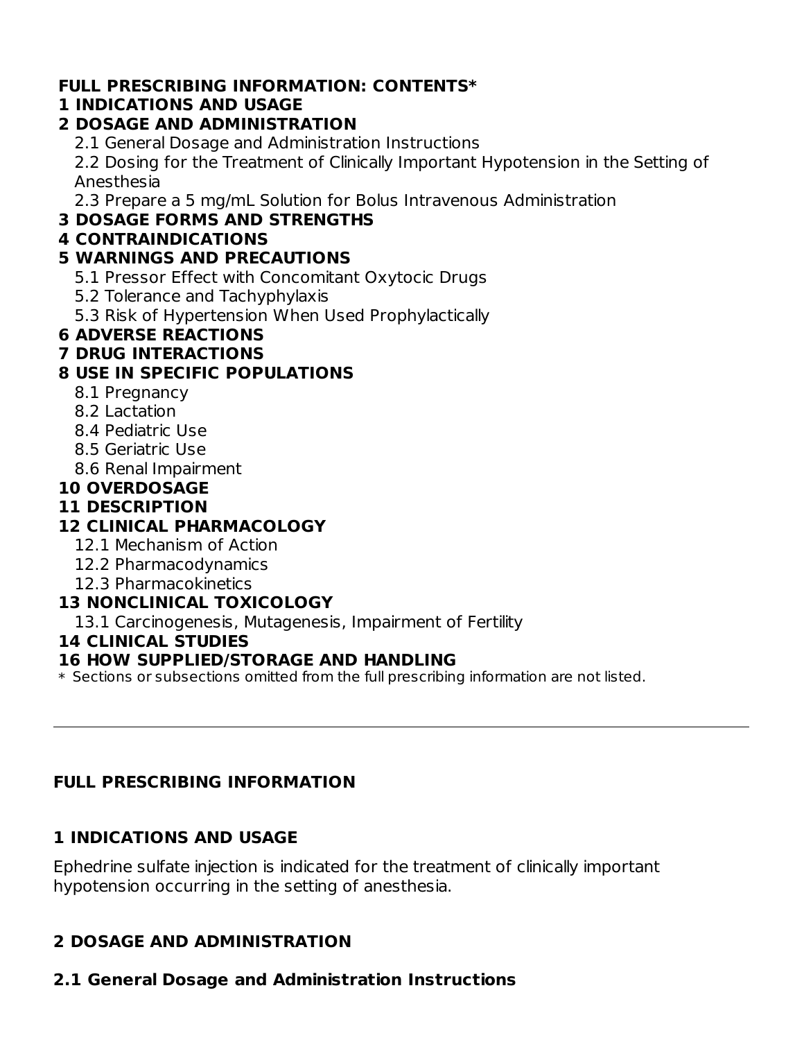## **FULL PRESCRIBING INFORMATION: CONTENTS\***

#### **1 INDICATIONS AND USAGE**

#### **2 DOSAGE AND ADMINISTRATION**

2.1 General Dosage and Administration Instructions

2.2 Dosing for the Treatment of Clinically Important Hypotension in the Setting of Anesthesia

2.3 Prepare a 5 mg/mL Solution for Bolus Intravenous Administration

#### **3 DOSAGE FORMS AND STRENGTHS**

#### **4 CONTRAINDICATIONS**

#### **5 WARNINGS AND PRECAUTIONS**

- 5.1 Pressor Effect with Concomitant Oxytocic Drugs
- 5.2 Tolerance and Tachyphylaxis
- 5.3 Risk of Hypertension When Used Prophylactically

#### **6 ADVERSE REACTIONS**

#### **7 DRUG INTERACTIONS**

## **8 USE IN SPECIFIC POPULATIONS**

- 8.1 Pregnancy
- 8.2 Lactation
- 8.4 Pediatric Use
- 8.5 Geriatric Use
- 8.6 Renal Impairment

#### **10 OVERDOSAGE**

#### **11 DESCRIPTION**

## **12 CLINICAL PHARMACOLOGY**

- 12.1 Mechanism of Action
- 12.2 Pharmacodynamics
- 12.3 Pharmacokinetics

#### **13 NONCLINICAL TOXICOLOGY**

13.1 Carcinogenesis, Mutagenesis, Impairment of Fertility

#### **14 CLINICAL STUDIES**

#### **16 HOW SUPPLIED/STORAGE AND HANDLING**

 $\ast$  Sections or subsections omitted from the full prescribing information are not listed.

## **FULL PRESCRIBING INFORMATION**

#### **1 INDICATIONS AND USAGE**

Ephedrine sulfate injection is indicated for the treatment of clinically important hypotension occurring in the setting of anesthesia.

## **2 DOSAGE AND ADMINISTRATION**

# **2.1 General Dosage and Administration Instructions**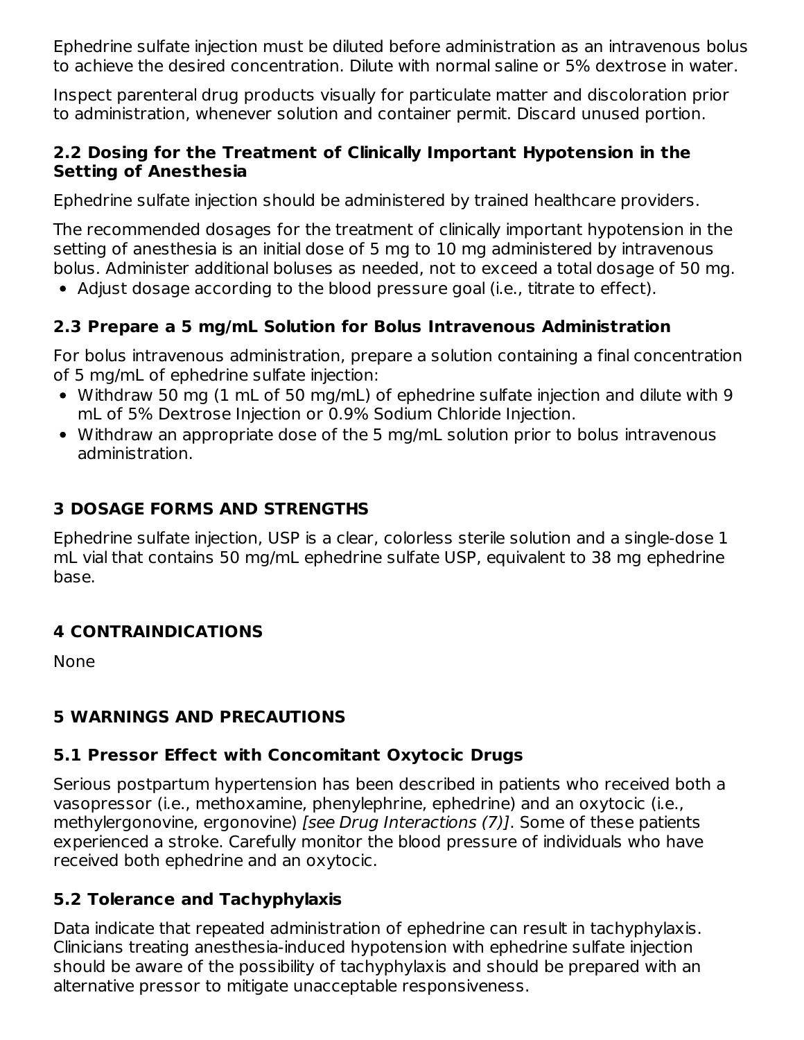Ephedrine sulfate injection must be diluted before administration as an intravenous bolus to achieve the desired concentration. Dilute with normal saline or 5% dextrose in water.

Inspect parenteral drug products visually for particulate matter and discoloration prior to administration, whenever solution and container permit. Discard unused portion.

#### **2.2 Dosing for the Treatment of Clinically Important Hypotension in the Setting of Anesthesia**

Ephedrine sulfate injection should be administered by trained healthcare providers.

The recommended dosages for the treatment of clinically important hypotension in the setting of anesthesia is an initial dose of 5 mg to 10 mg administered by intravenous bolus. Administer additional boluses as needed, not to exceed a total dosage of 50 mg.

Adjust dosage according to the blood pressure goal (i.e., titrate to effect).

## **2.3 Prepare a 5 mg/mL Solution for Bolus Intravenous Administration**

For bolus intravenous administration, prepare a solution containing a final concentration of 5 mg/mL of ephedrine sulfate injection:

- Withdraw 50 mg (1 mL of 50 mg/mL) of ephedrine sulfate injection and dilute with 9 mL of 5% Dextrose Injection or 0.9% Sodium Chloride Injection.
- Withdraw an appropriate dose of the 5 mg/mL solution prior to bolus intravenous administration.

## **3 DOSAGE FORMS AND STRENGTHS**

Ephedrine sulfate injection, USP is a clear, colorless sterile solution and a single-dose 1 mL vial that contains 50 mg/mL ephedrine sulfate USP, equivalent to 38 mg ephedrine base.

## **4 CONTRAINDICATIONS**

None

## **5 WARNINGS AND PRECAUTIONS**

## **5.1 Pressor Effect with Concomitant Oxytocic Drugs**

Serious postpartum hypertension has been described in patients who received both a vasopressor (i.e., methoxamine, phenylephrine, ephedrine) and an oxytocic (i.e., methylergonovine, ergonovine) [see Drug Interactions (7)]. Some of these patients experienced a stroke. Carefully monitor the blood pressure of individuals who have received both ephedrine and an oxytocic.

## **5.2 Tolerance and Tachyphylaxis**

Data indicate that repeated administration of ephedrine can result in tachyphylaxis. Clinicians treating anesthesia-induced hypotension with ephedrine sulfate injection should be aware of the possibility of tachyphylaxis and should be prepared with an alternative pressor to mitigate unacceptable responsiveness.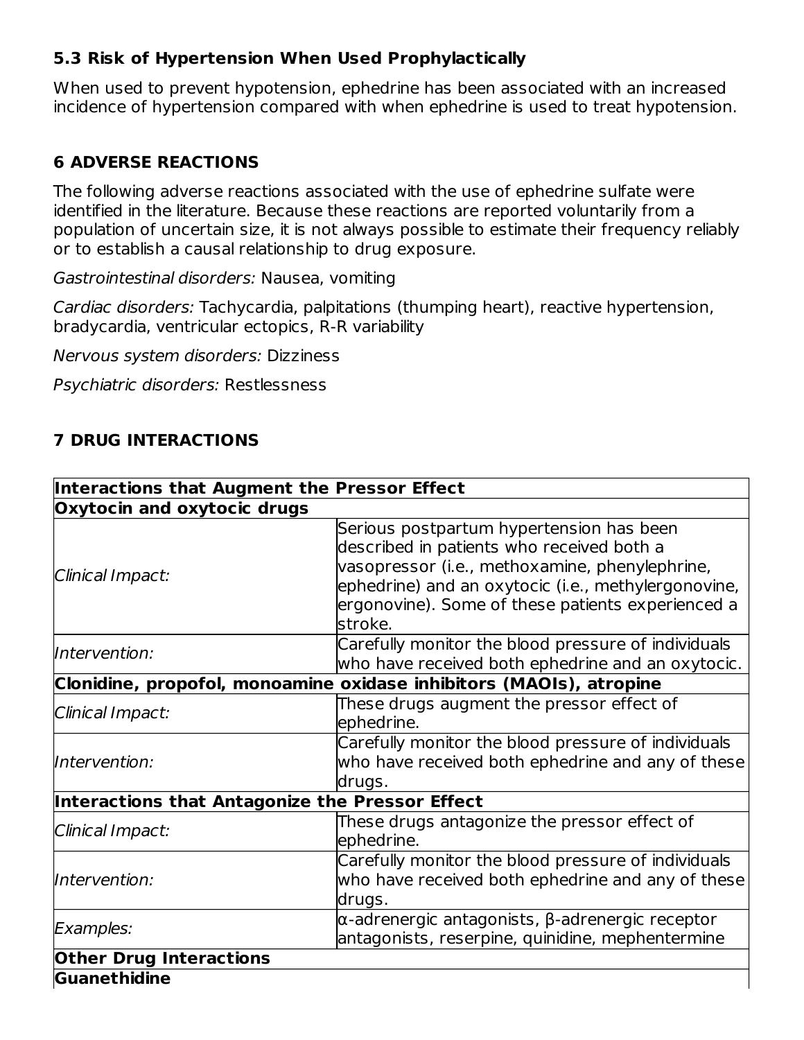## **5.3 Risk of Hypertension When Used Prophylactically**

When used to prevent hypotension, ephedrine has been associated with an increased incidence of hypertension compared with when ephedrine is used to treat hypotension.

## **6 ADVERSE REACTIONS**

The following adverse reactions associated with the use of ephedrine sulfate were identified in the literature. Because these reactions are reported voluntarily from a population of uncertain size, it is not always possible to estimate their frequency reliably or to establish a causal relationship to drug exposure.

Gastrointestinal disorders: Nausea, vomiting

Cardiac disorders: Tachycardia, palpitations (thumping heart), reactive hypertension, bradycardia, ventricular ectopics, R-R variability

Nervous system disorders: Dizziness

Psychiatric disorders: Restlessness

## **7 DRUG INTERACTIONS**

| Interactions that Augment the Pressor Effect                        |                                                                                                                                                                                                                                                                |  |  |  |  |  |
|---------------------------------------------------------------------|----------------------------------------------------------------------------------------------------------------------------------------------------------------------------------------------------------------------------------------------------------------|--|--|--|--|--|
| Oxytocin and oxytocic drugs                                         |                                                                                                                                                                                                                                                                |  |  |  |  |  |
| Clinical Impact:                                                    | Serious postpartum hypertension has been<br>described in patients who received both a<br>vasopressor (i.e., methoxamine, phenylephrine,<br>ephedrine) and an oxytocic (i.e., methylergonovine,<br>ergonovine). Some of these patients experienced a<br>stroke. |  |  |  |  |  |
| Intervention:                                                       | Carefully monitor the blood pressure of individuals<br>who have received both ephedrine and an oxytocic.                                                                                                                                                       |  |  |  |  |  |
| Clonidine, propofol, monoamine oxidase inhibitors (MAOIs), atropine |                                                                                                                                                                                                                                                                |  |  |  |  |  |
| Clinical Impact:                                                    | These drugs augment the pressor effect of<br>ephedrine.                                                                                                                                                                                                        |  |  |  |  |  |
| Intervention:                                                       | Carefully monitor the blood pressure of individuals<br>who have received both ephedrine and any of these<br>drugs.                                                                                                                                             |  |  |  |  |  |
| Interactions that Antagonize the Pressor Effect                     |                                                                                                                                                                                                                                                                |  |  |  |  |  |
| Clinical Impact:                                                    | These drugs antagonize the pressor effect of<br>ephedrine.                                                                                                                                                                                                     |  |  |  |  |  |
| Intervention:                                                       | Carefully monitor the blood pressure of individuals<br>who have received both ephedrine and any of these<br>drugs.                                                                                                                                             |  |  |  |  |  |
| Examples:                                                           | $\alpha$ -adrenergic antagonists, $\beta$ -adrenergic receptor<br>antagonists, reserpine, quinidine, mephentermine                                                                                                                                             |  |  |  |  |  |
| <b>Other Drug Interactions</b>                                      |                                                                                                                                                                                                                                                                |  |  |  |  |  |
| Guanethidine                                                        |                                                                                                                                                                                                                                                                |  |  |  |  |  |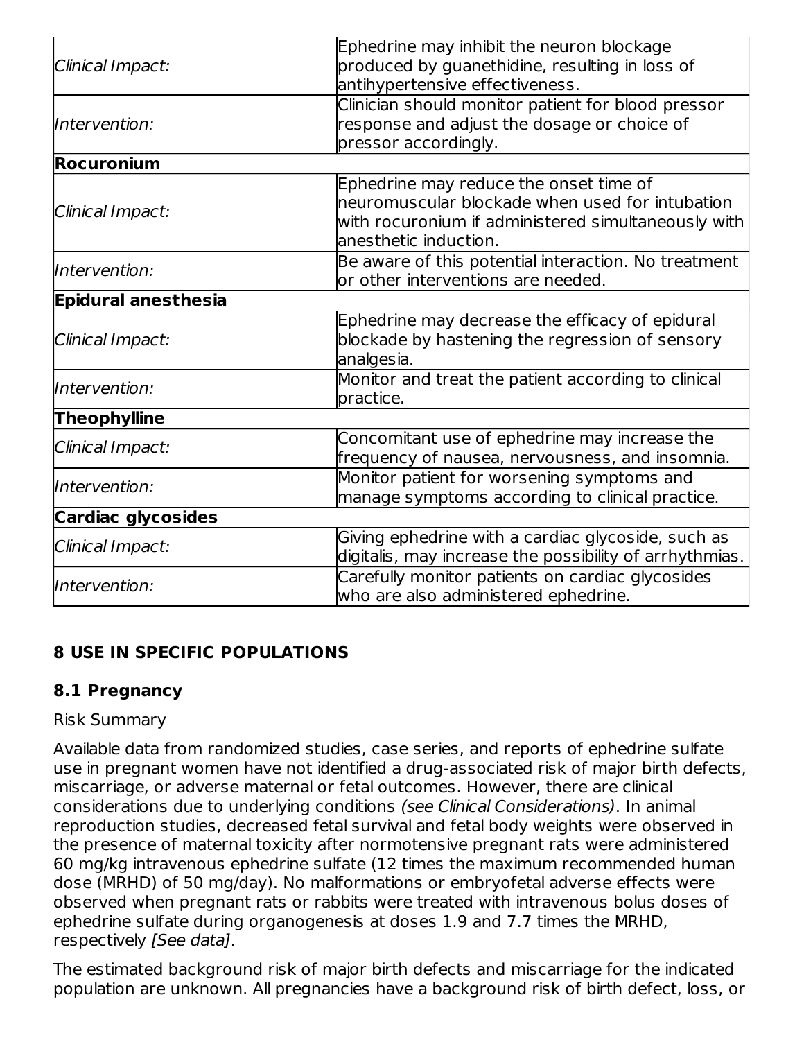|                            | Ephedrine may inhibit the neuron blockage               |  |  |  |  |
|----------------------------|---------------------------------------------------------|--|--|--|--|
| Clinical Impact:           | produced by guanethidine, resulting in loss of          |  |  |  |  |
|                            | antihypertensive effectiveness.                         |  |  |  |  |
|                            | Clinician should monitor patient for blood pressor      |  |  |  |  |
| Intervention:              | response and adjust the dosage or choice of             |  |  |  |  |
|                            | pressor accordingly.                                    |  |  |  |  |
| <b>Rocuronium</b>          |                                                         |  |  |  |  |
|                            | Ephedrine may reduce the onset time of                  |  |  |  |  |
| Clinical Impact:           | neuromuscular blockade when used for intubation         |  |  |  |  |
|                            | with rocuronium if administered simultaneously with     |  |  |  |  |
|                            | anesthetic induction.                                   |  |  |  |  |
| Intervention:              | Be aware of this potential interaction. No treatment    |  |  |  |  |
|                            | or other interventions are needed.                      |  |  |  |  |
| <b>Epidural anesthesia</b> |                                                         |  |  |  |  |
|                            | Ephedrine may decrease the efficacy of epidural         |  |  |  |  |
| Clinical Impact:           | blockade by hastening the regression of sensory         |  |  |  |  |
|                            | analgesia.                                              |  |  |  |  |
| Intervention:              | Monitor and treat the patient according to clinical     |  |  |  |  |
|                            | practice.                                               |  |  |  |  |
| <b>Theophylline</b>        |                                                         |  |  |  |  |
|                            | Concomitant use of ephedrine may increase the           |  |  |  |  |
| Clinical Impact:           | frequency of nausea, nervousness, and insomnia.         |  |  |  |  |
| Intervention:              | Monitor patient for worsening symptoms and              |  |  |  |  |
|                            | manage symptoms according to clinical practice.         |  |  |  |  |
| <b>Cardiac glycosides</b>  |                                                         |  |  |  |  |
| Clinical Impact:           | Giving ephedrine with a cardiac glycoside, such as      |  |  |  |  |
|                            | digitalis, may increase the possibility of arrhythmias. |  |  |  |  |
| Intervention:              | Carefully monitor patients on cardiac glycosides        |  |  |  |  |
|                            | who are also administered ephedrine.                    |  |  |  |  |

## **8 USE IN SPECIFIC POPULATIONS**

## **8.1 Pregnancy**

#### Risk Summary

Available data from randomized studies, case series, and reports of ephedrine sulfate use in pregnant women have not identified a drug-associated risk of major birth defects, miscarriage, or adverse maternal or fetal outcomes. However, there are clinical considerations due to underlying conditions (see Clinical Considerations). In animal reproduction studies, decreased fetal survival and fetal body weights were observed in the presence of maternal toxicity after normotensive pregnant rats were administered 60 mg/kg intravenous ephedrine sulfate (12 times the maximum recommended human dose (MRHD) of 50 mg/day). No malformations or embryofetal adverse effects were observed when pregnant rats or rabbits were treated with intravenous bolus doses of ephedrine sulfate during organogenesis at doses 1.9 and 7.7 times the MRHD, respectively [See data].

The estimated background risk of major birth defects and miscarriage for the indicated population are unknown. All pregnancies have a background risk of birth defect, loss, or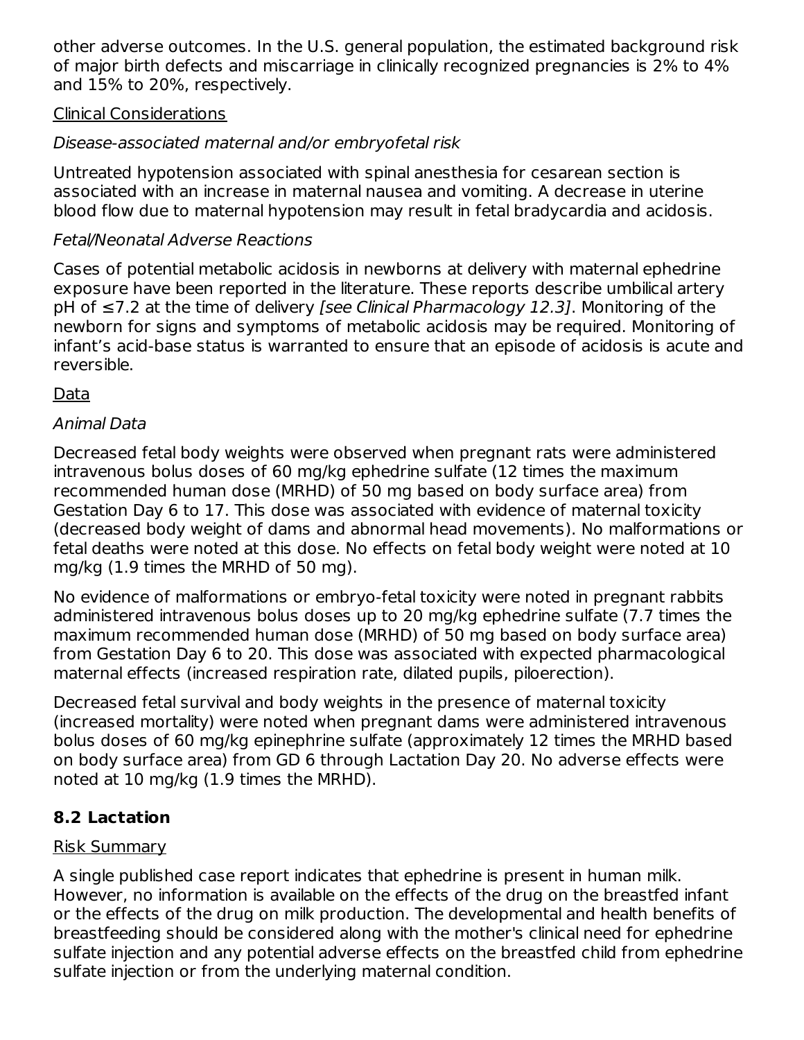other adverse outcomes. In the U.S. general population, the estimated background risk of major birth defects and miscarriage in clinically recognized pregnancies is 2% to 4% and 15% to 20%, respectively.

#### Clinical Considerations

## Disease-associated maternal and/or embryofetal risk

Untreated hypotension associated with spinal anesthesia for cesarean section is associated with an increase in maternal nausea and vomiting. A decrease in uterine blood flow due to maternal hypotension may result in fetal bradycardia and acidosis.

## Fetal/Neonatal Adverse Reactions

Cases of potential metabolic acidosis in newborns at delivery with maternal ephedrine exposure have been reported in the literature. These reports describe umbilical artery pH of ≤7.2 at the time of delivery *[see Clinical Pharmacology 12.3]*. Monitoring of the newborn for signs and symptoms of metabolic acidosis may be required. Monitoring of infant's acid-base status is warranted to ensure that an episode of acidosis is acute and reversible.

Data

#### Animal Data

Decreased fetal body weights were observed when pregnant rats were administered intravenous bolus doses of 60 mg/kg ephedrine sulfate (12 times the maximum recommended human dose (MRHD) of 50 mg based on body surface area) from Gestation Day 6 to 17. This dose was associated with evidence of maternal toxicity (decreased body weight of dams and abnormal head movements). No malformations or fetal deaths were noted at this dose. No effects on fetal body weight were noted at 10 mg/kg (1.9 times the MRHD of 50 mg).

No evidence of malformations or embryo-fetal toxicity were noted in pregnant rabbits administered intravenous bolus doses up to 20 mg/kg ephedrine sulfate (7.7 times the maximum recommended human dose (MRHD) of 50 mg based on body surface area) from Gestation Day 6 to 20. This dose was associated with expected pharmacological maternal effects (increased respiration rate, dilated pupils, piloerection).

Decreased fetal survival and body weights in the presence of maternal toxicity (increased mortality) were noted when pregnant dams were administered intravenous bolus doses of 60 mg/kg epinephrine sulfate (approximately 12 times the MRHD based on body surface area) from GD 6 through Lactation Day 20. No adverse effects were noted at 10 mg/kg (1.9 times the MRHD).

## **8.2 Lactation**

## Risk Summary

A single published case report indicates that ephedrine is present in human milk. However, no information is available on the effects of the drug on the breastfed infant or the effects of the drug on milk production. The developmental and health benefits of breastfeeding should be considered along with the mother's clinical need for ephedrine sulfate injection and any potential adverse effects on the breastfed child from ephedrine sulfate injection or from the underlying maternal condition.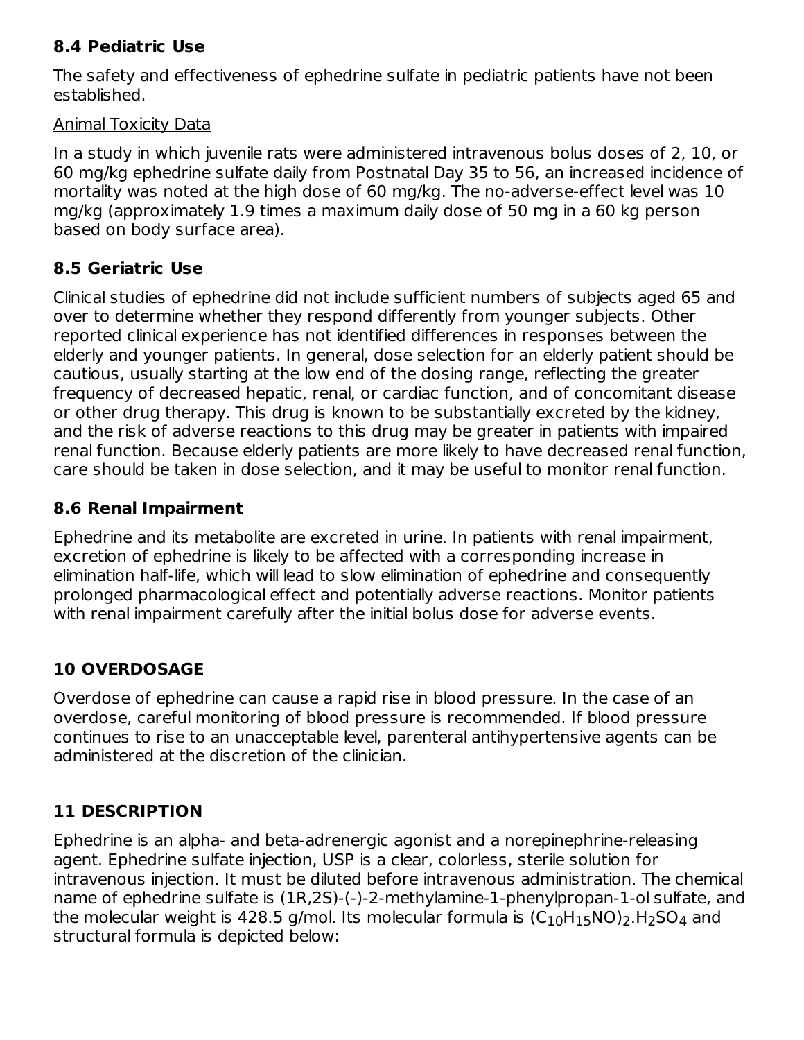## **8.4 Pediatric Use**

The safety and effectiveness of ephedrine sulfate in pediatric patients have not been established.

#### Animal Toxicity Data

In a study in which juvenile rats were administered intravenous bolus doses of 2, 10, or 60 mg/kg ephedrine sulfate daily from Postnatal Day 35 to 56, an increased incidence of mortality was noted at the high dose of 60 mg/kg. The no-adverse-effect level was 10 mg/kg (approximately 1.9 times a maximum daily dose of 50 mg in a 60 kg person based on body surface area).

## **8.5 Geriatric Use**

Clinical studies of ephedrine did not include sufficient numbers of subjects aged 65 and over to determine whether they respond differently from younger subjects. Other reported clinical experience has not identified differences in responses between the elderly and younger patients. In general, dose selection for an elderly patient should be cautious, usually starting at the low end of the dosing range, reflecting the greater frequency of decreased hepatic, renal, or cardiac function, and of concomitant disease or other drug therapy. This drug is known to be substantially excreted by the kidney, and the risk of adverse reactions to this drug may be greater in patients with impaired renal function. Because elderly patients are more likely to have decreased renal function, care should be taken in dose selection, and it may be useful to monitor renal function.

## **8.6 Renal Impairment**

Ephedrine and its metabolite are excreted in urine. In patients with renal impairment, excretion of ephedrine is likely to be affected with a corresponding increase in elimination half-life, which will lead to slow elimination of ephedrine and consequently prolonged pharmacological effect and potentially adverse reactions. Monitor patients with renal impairment carefully after the initial bolus dose for adverse events.

# **10 OVERDOSAGE**

Overdose of ephedrine can cause a rapid rise in blood pressure. In the case of an overdose, careful monitoring of blood pressure is recommended. If blood pressure continues to rise to an unacceptable level, parenteral antihypertensive agents can be administered at the discretion of the clinician.

## **11 DESCRIPTION**

Ephedrine is an alpha- and beta-adrenergic agonist and a norepinephrine-releasing agent. Ephedrine sulfate injection, USP is a clear, colorless, sterile solution for intravenous injection. It must be diluted before intravenous administration. The chemical name of ephedrine sulfate is (1R,2S)-(-)-2-methylamine-1-phenylpropan-1-ol sulfate, and the molecular weight is 428.5 g/mol. Its molecular formula is  $(\mathsf{C}_{10}\mathsf{H}_{15}\mathsf{NO})_2$ .H $_2$ SO $_4$  and structural formula is depicted below: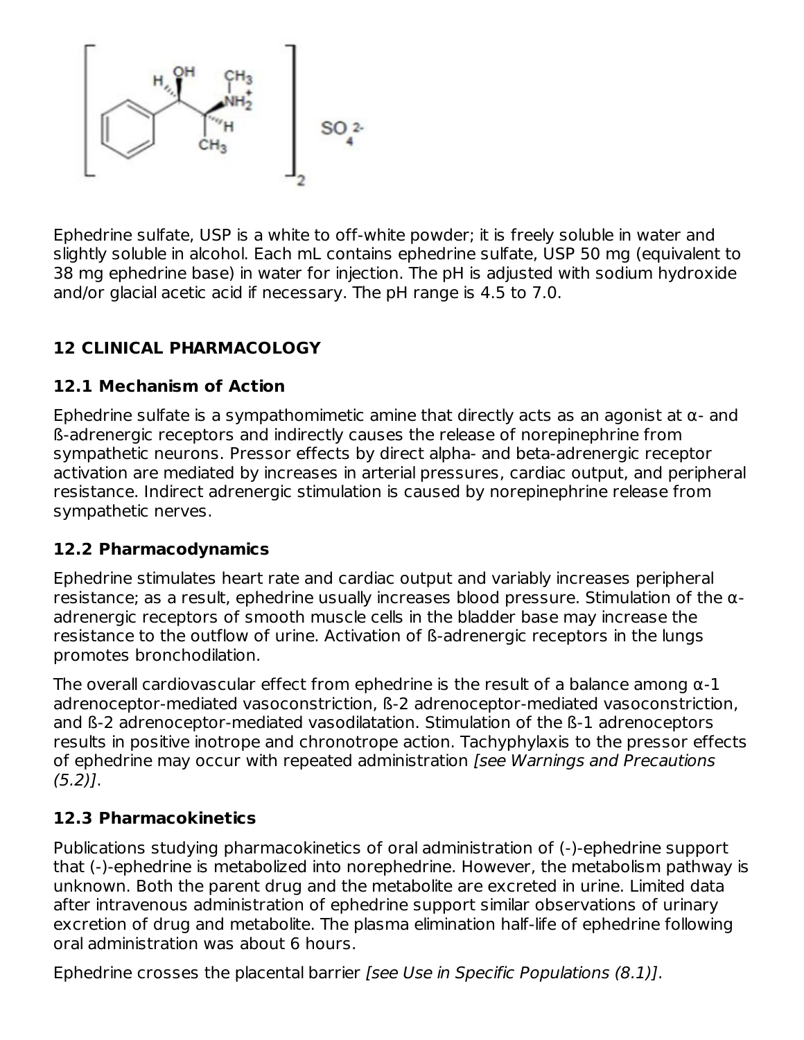

Ephedrine sulfate, USP is a white to off-white powder; it is freely soluble in water and slightly soluble in alcohol. Each mL contains ephedrine sulfate, USP 50 mg (equivalent to 38 mg ephedrine base) in water for injection. The pH is adjusted with sodium hydroxide and/or glacial acetic acid if necessary. The pH range is 4.5 to 7.0.

## **12 CLINICAL PHARMACOLOGY**

## **12.1 Mechanism of Action**

Ephedrine sulfate is a sympathomimetic amine that directly acts as an agonist at α- and ß-adrenergic receptors and indirectly causes the release of norepinephrine from sympathetic neurons. Pressor effects by direct alpha- and beta-adrenergic receptor activation are mediated by increases in arterial pressures, cardiac output, and peripheral resistance. Indirect adrenergic stimulation is caused by norepinephrine release from sympathetic nerves.

## **12.2 Pharmacodynamics**

Ephedrine stimulates heart rate and cardiac output and variably increases peripheral resistance; as a result, ephedrine usually increases blood pressure. Stimulation of the αadrenergic receptors of smooth muscle cells in the bladder base may increase the resistance to the outflow of urine. Activation of ß-adrenergic receptors in the lungs promotes bronchodilation.

The overall cardiovascular effect from ephedrine is the result of a balance among  $\alpha$ -1 adrenoceptor-mediated vasoconstriction, ß-2 adrenoceptor-mediated vasoconstriction, and ß-2 adrenoceptor-mediated vasodilatation. Stimulation of the ß-1 adrenoceptors results in positive inotrope and chronotrope action. Tachyphylaxis to the pressor effects of ephedrine may occur with repeated administration [see Warnings and Precautions (5.2)].

## **12.3 Pharmacokinetics**

Publications studying pharmacokinetics of oral administration of (-)-ephedrine support that (-)-ephedrine is metabolized into norephedrine. However, the metabolism pathway is unknown. Both the parent drug and the metabolite are excreted in urine. Limited data after intravenous administration of ephedrine support similar observations of urinary excretion of drug and metabolite. The plasma elimination half-life of ephedrine following oral administration was about 6 hours.

Ephedrine crosses the placental barrier [see Use in Specific Populations (8.1)].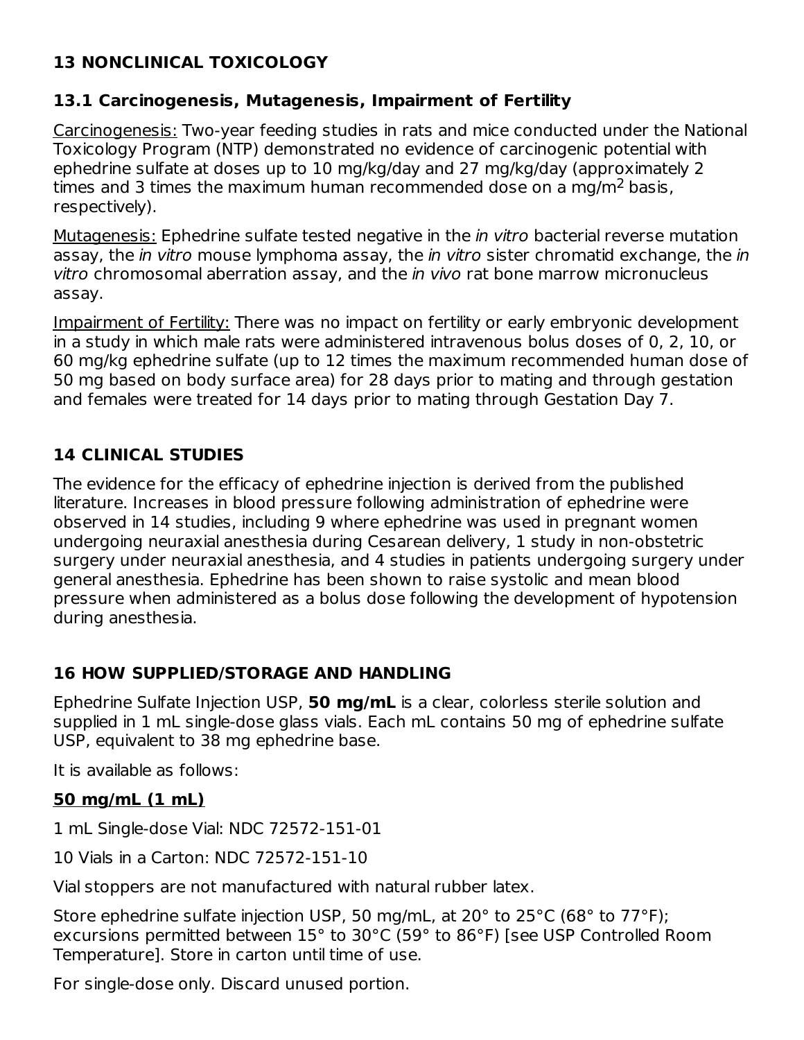## **13 NONCLINICAL TOXICOLOGY**

#### **13.1 Carcinogenesis, Mutagenesis, Impairment of Fertility**

Carcinogenesis: Two-year feeding studies in rats and mice conducted under the National Toxicology Program (NTP) demonstrated no evidence of carcinogenic potential with ephedrine sulfate at doses up to 10 mg/kg/day and 27 mg/kg/day (approximately 2 times and 3 times the maximum human recommended dose on a mg/m<sup>2</sup> basis, respectively).

Mutagenesis: Ephedrine sulfate tested negative in the *in vitro* bacterial reverse mutation assay, the *in vitro* mouse lymphoma assay, the *in vitro* sister chromatid exchange, the *in* vitro chromosomal aberration assay, and the in vivo rat bone marrow micronucleus assay.

Impairment of Fertility: There was no impact on fertility or early embryonic development in a study in which male rats were administered intravenous bolus doses of 0, 2, 10, or 60 mg/kg ephedrine sulfate (up to 12 times the maximum recommended human dose of 50 mg based on body surface area) for 28 days prior to mating and through gestation and females were treated for 14 days prior to mating through Gestation Day 7.

## **14 CLINICAL STUDIES**

The evidence for the efficacy of ephedrine injection is derived from the published literature. Increases in blood pressure following administration of ephedrine were observed in 14 studies, including 9 where ephedrine was used in pregnant women undergoing neuraxial anesthesia during Cesarean delivery, 1 study in non-obstetric surgery under neuraxial anesthesia, and 4 studies in patients undergoing surgery under general anesthesia. Ephedrine has been shown to raise systolic and mean blood pressure when administered as a bolus dose following the development of hypotension during anesthesia.

#### **16 HOW SUPPLIED/STORAGE AND HANDLING**

Ephedrine Sulfate Injection USP, **50 mg/mL** is a clear, colorless sterile solution and supplied in 1 mL single-dose glass vials. Each mL contains 50 mg of ephedrine sulfate USP, equivalent to 38 mg ephedrine base.

It is available as follows:

#### **50 mg/mL (1 mL)**

1 mL Single-dose Vial: NDC 72572-151-01

10 Vials in a Carton: NDC 72572-151-10

Vial stoppers are not manufactured with natural rubber latex.

Store ephedrine sulfate injection USP, 50 mg/mL, at 20° to 25°C (68° to 77°F); excursions permitted between 15° to 30°C (59° to 86°F) [see USP Controlled Room Temperature]. Store in carton until time of use.

For single-dose only. Discard unused portion.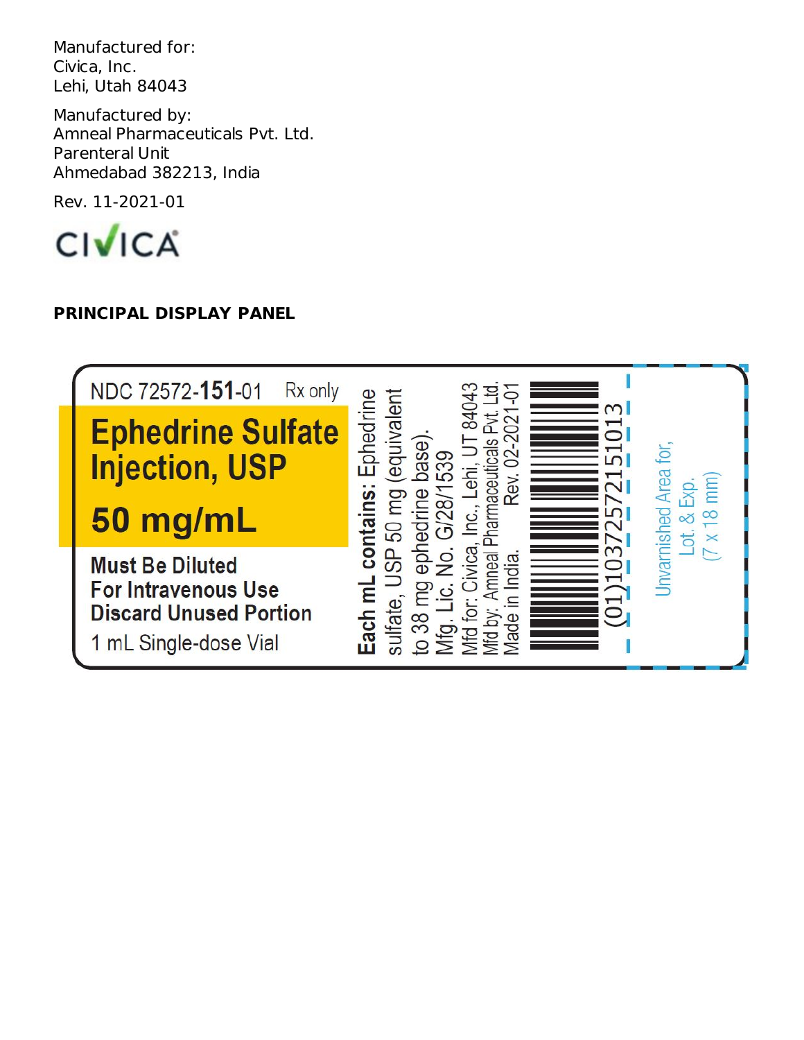Manufactured for: Civica, Inc. Lehi, Utah 84043

Manufactured by: Amneal Pharmaceuticals Pvt. Ltd. Parenteral Unit Ahmedabad 382213, India

Rev. 11-2021-01



## **PRINCIPAL DISPLAY PANEL**

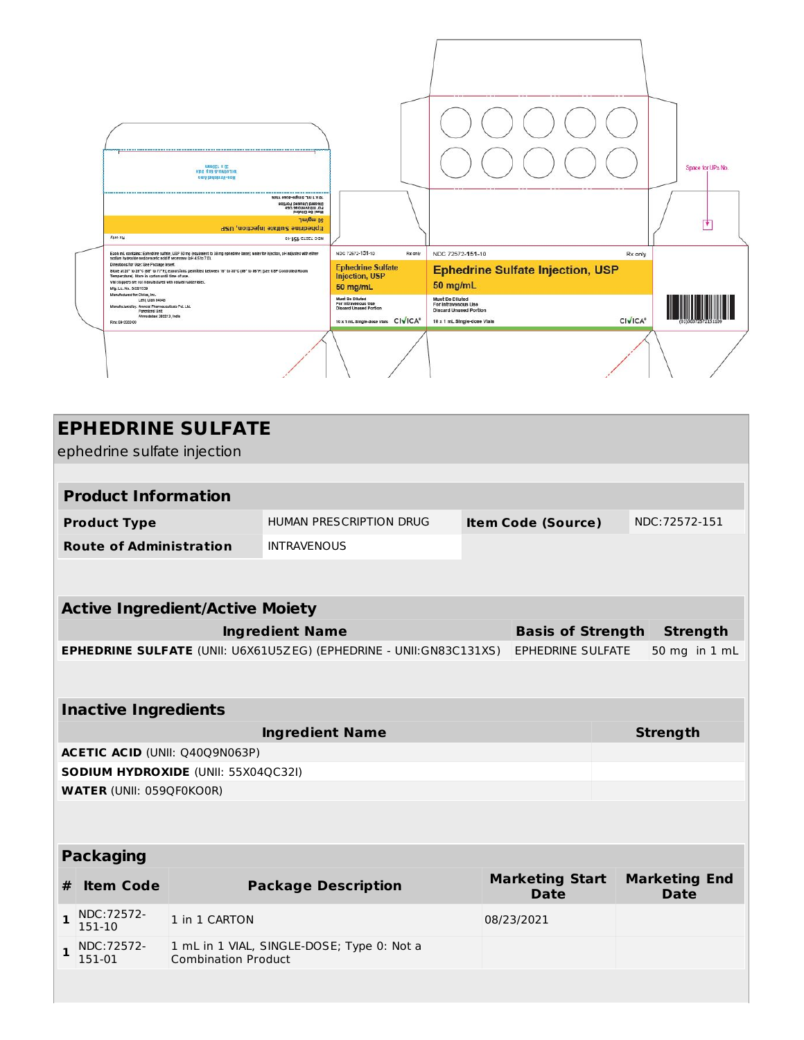

| <b>EPHEDRINE SULFATE</b><br>ephedrine sulfate injection |                                                                                                       |                                            |                           |                                       |                |                                     |
|---------------------------------------------------------|-------------------------------------------------------------------------------------------------------|--------------------------------------------|---------------------------|---------------------------------------|----------------|-------------------------------------|
|                                                         |                                                                                                       |                                            |                           |                                       |                |                                     |
| <b>Product Information</b>                              |                                                                                                       |                                            |                           |                                       |                |                                     |
| <b>Product Type</b>                                     |                                                                                                       | HUMAN PRESCRIPTION DRUG                    | <b>Item Code (Source)</b> |                                       | NDC: 72572-151 |                                     |
| <b>Route of Administration</b>                          |                                                                                                       | <b>INTRAVENOUS</b>                         |                           |                                       |                |                                     |
|                                                         |                                                                                                       |                                            |                           |                                       |                |                                     |
| <b>Active Ingredient/Active Moiety</b>                  |                                                                                                       |                                            |                           |                                       |                |                                     |
|                                                         | <b>Ingredient Name</b>                                                                                |                                            |                           | <b>Basis of Strength</b>              |                | <b>Strength</b>                     |
|                                                         | <b>EPHEDRINE SULFATE (UNII: U6X61U5ZEG) (EPHEDRINE - UNII:GN83C131XS)</b><br><b>EPHEDRINE SULFATE</b> |                                            |                           |                                       | 50 mg in 1 mL  |                                     |
|                                                         |                                                                                                       |                                            |                           |                                       |                |                                     |
| <b>Inactive Ingredients</b>                             |                                                                                                       |                                            |                           |                                       |                |                                     |
| <b>Ingredient Name</b>                                  |                                                                                                       |                                            |                           | <b>Strength</b>                       |                |                                     |
| <b>ACETIC ACID (UNII: Q40Q9N063P)</b>                   |                                                                                                       |                                            |                           |                                       |                |                                     |
| <b>SODIUM HYDROXIDE (UNII: 55X04QC32I)</b>              |                                                                                                       |                                            |                           |                                       |                |                                     |
| <b>WATER (UNII: 059QF0KO0R)</b>                         |                                                                                                       |                                            |                           |                                       |                |                                     |
|                                                         |                                                                                                       |                                            |                           |                                       |                |                                     |
| <b>Packaging</b>                                        |                                                                                                       |                                            |                           |                                       |                |                                     |
| <b>Item Code</b><br>#                                   |                                                                                                       | <b>Package Description</b>                 |                           | <b>Marketing Start</b><br><b>Date</b> |                | <b>Marketing End</b><br><b>Date</b> |
| NDC: 72572-<br>1<br>151-10                              | 1 in 1 CARTON                                                                                         |                                            |                           | 08/23/2021                            |                |                                     |
| NDC: 72572-<br>$\mathbf{1}$<br>151-01                   | <b>Combination Product</b>                                                                            | 1 mL in 1 VIAL, SINGLE-DOSE; Type 0: Not a |                           |                                       |                |                                     |
|                                                         |                                                                                                       |                                            |                           |                                       |                |                                     |